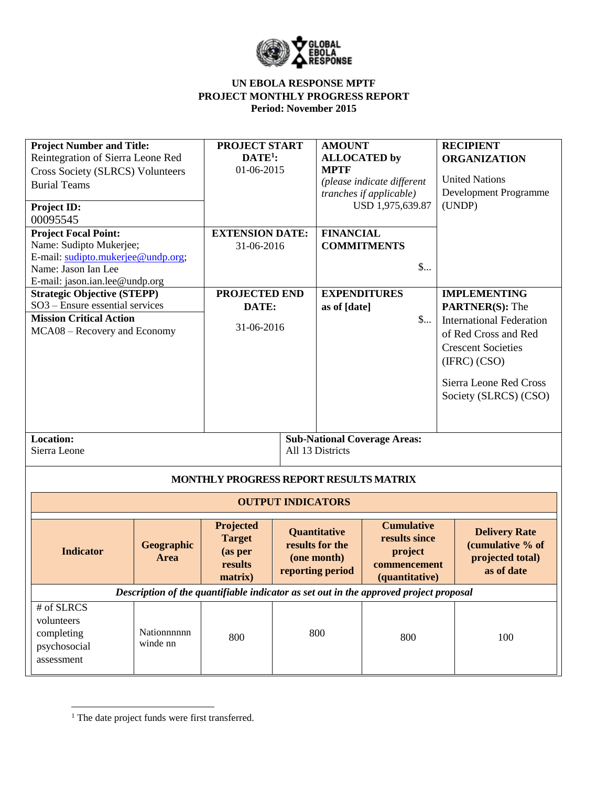

| <b>Project Number and Title:</b><br>Reintegration of Sierra Leone Red<br><b>Cross Society (SLRCS) Volunteers</b><br><b>Burial Teams</b><br><b>Project ID:</b><br>00095545 |                         | <b>PROJECT START</b><br>$DATE1$ :<br>01-06-2015             |                          | <b>AMOUNT</b><br><b>ALLOCATED</b> by<br><b>MPTF</b>                | (please indicate different<br>tranches if applicable)<br>USD 1,975,639.87             | <b>RECIPIENT</b><br><b>ORGANIZATION</b><br><b>United Nations</b><br>Development Programme<br>(UNDP)                                                                                                      |
|---------------------------------------------------------------------------------------------------------------------------------------------------------------------------|-------------------------|-------------------------------------------------------------|--------------------------|--------------------------------------------------------------------|---------------------------------------------------------------------------------------|----------------------------------------------------------------------------------------------------------------------------------------------------------------------------------------------------------|
| <b>Project Focal Point:</b><br>Name: Sudipto Mukerjee;<br>E-mail: sudipto.mukerjee@undp.org;<br>Name: Jason Ian Lee<br>E-mail: jason.ian.lee@undp.org                     |                         | <b>EXTENSION DATE:</b><br>31-06-2016                        |                          | <b>FINANCIAL</b>                                                   | <b>COMMITMENTS</b><br>$\mathsf{S}$                                                    |                                                                                                                                                                                                          |
| <b>Strategic Objective (STEPP)</b><br>SO3 - Ensure essential services<br><b>Mission Critical Action</b><br>MCA08 – Recovery and Economy                                   |                         | <b>PROJECTED END</b><br>DATE:<br>31-06-2016                 |                          | as of [date]                                                       | <b>EXPENDITURES</b><br>$\mathsf{S}$                                                   | <b>IMPLEMENTING</b><br><b>PARTNER(S): The</b><br><b>International Federation</b><br>of Red Cross and Red<br><b>Crescent Societies</b><br>(IFRC) (CSO)<br>Sierra Leone Red Cross<br>Society (SLRCS) (CSO) |
| Location:<br>Sierra Leone                                                                                                                                                 |                         |                                                             |                          | All 13 Districts                                                   | <b>Sub-National Coverage Areas:</b>                                                   |                                                                                                                                                                                                          |
|                                                                                                                                                                           |                         | MONTHLY PROGRESS REPORT RESULTS MATRIX                      |                          |                                                                    |                                                                                       |                                                                                                                                                                                                          |
|                                                                                                                                                                           |                         |                                                             | <b>OUTPUT INDICATORS</b> |                                                                    |                                                                                       |                                                                                                                                                                                                          |
| <b>Indicator</b>                                                                                                                                                          | Geographic<br>Area      | Projected<br><b>Target</b><br>(as per<br>results<br>matrix) |                          | Quantitative<br>results for the<br>(one month)<br>reporting period | <b>Cumulative</b><br>results since<br>project<br>commencement<br>(quantitative)       | <b>Delivery Rate</b><br>(cumulative % of<br>projected total)<br>as of date                                                                                                                               |
|                                                                                                                                                                           |                         |                                                             |                          |                                                                    | Description of the quantifiable indicator as set out in the approved project proposal |                                                                                                                                                                                                          |
| $#$ of SLRCS<br>volunteers<br>completing<br>psychosocial<br>assessment                                                                                                    | Nationnnnnn<br>winde nn | 800                                                         |                          | 800                                                                | 800                                                                                   | 100                                                                                                                                                                                                      |

 $\overline{\phantom{a}}$ 

<sup>&</sup>lt;sup>1</sup> The date project funds were first transferred.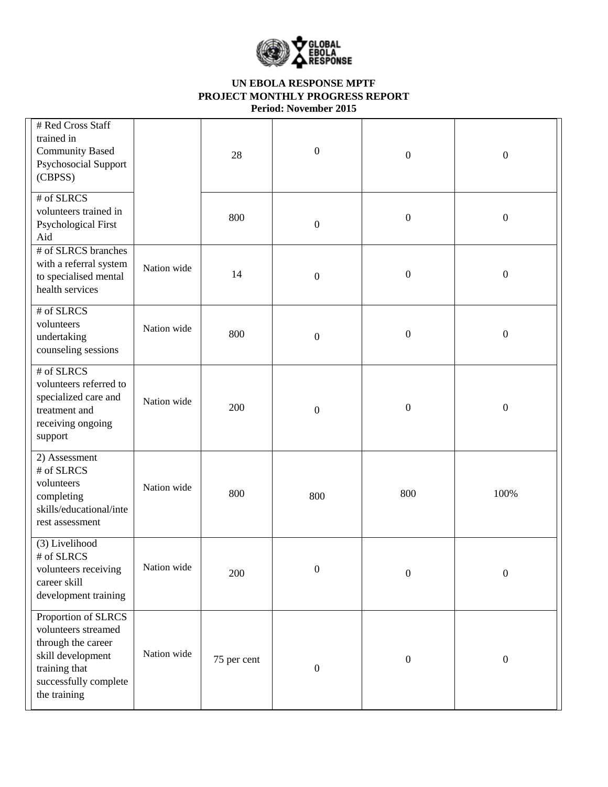

| # Red Cross Staff<br>trained in<br><b>Community Based</b><br>Psychosocial Support<br>(CBPSS)                                                    |             | 28          | $\boldsymbol{0}$ | $\boldsymbol{0}$ | $\boldsymbol{0}$ |
|-------------------------------------------------------------------------------------------------------------------------------------------------|-------------|-------------|------------------|------------------|------------------|
| # of SLRCS<br>volunteers trained in<br><b>Psychological First</b><br>Aid                                                                        |             | 800         | $\boldsymbol{0}$ | $\boldsymbol{0}$ | $\boldsymbol{0}$ |
| # of SLRCS branches<br>with a referral system<br>to specialised mental<br>health services                                                       | Nation wide | 14          | $\boldsymbol{0}$ | $\boldsymbol{0}$ | $\boldsymbol{0}$ |
| # of SLRCS<br>volunteers<br>undertaking<br>counseling sessions                                                                                  | Nation wide | 800         | $\boldsymbol{0}$ | $\boldsymbol{0}$ | $\boldsymbol{0}$ |
| # of SLRCS<br>volunteers referred to<br>specialized care and<br>treatment and<br>receiving ongoing<br>support                                   | Nation wide | 200         | $\boldsymbol{0}$ | $\boldsymbol{0}$ | $\boldsymbol{0}$ |
| 2) Assessment<br># of SLRCS<br>volunteers<br>completing<br>skills/educational/inte<br>rest assessment                                           | Nation wide | 800         | 800              | 800              | 100%             |
| (3) Livelihood<br># of SLRCS<br>volunteers receiving<br>career skill<br>development training                                                    | Nation wide | 200         | $\boldsymbol{0}$ | $\boldsymbol{0}$ | $\boldsymbol{0}$ |
| Proportion of SLRCS<br>volunteers streamed<br>through the career<br>skill development<br>training that<br>successfully complete<br>the training | Nation wide | 75 per cent | $\boldsymbol{0}$ | $\boldsymbol{0}$ | $\boldsymbol{0}$ |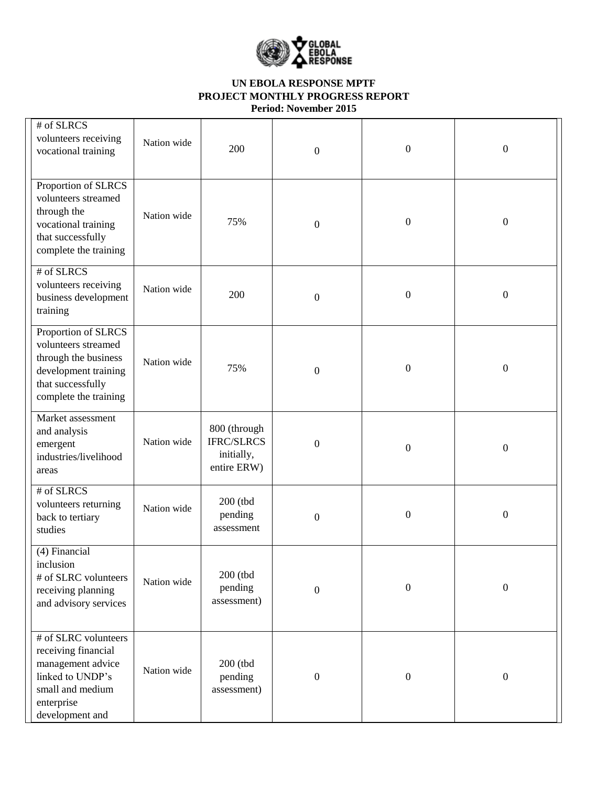

| # of SLRCS<br>volunteers receiving<br>vocational training                                                                                 | Nation wide | 200                                                            | $\boldsymbol{0}$ | $\boldsymbol{0}$ | $\boldsymbol{0}$ |
|-------------------------------------------------------------------------------------------------------------------------------------------|-------------|----------------------------------------------------------------|------------------|------------------|------------------|
| Proportion of SLRCS<br>volunteers streamed<br>through the<br>vocational training<br>that successfully<br>complete the training            | Nation wide | 75%                                                            | $\boldsymbol{0}$ | $\boldsymbol{0}$ | $\boldsymbol{0}$ |
| # of SLRCS<br>volunteers receiving<br>business development<br>training                                                                    | Nation wide | 200                                                            | $\boldsymbol{0}$ | $\boldsymbol{0}$ | $\boldsymbol{0}$ |
| Proportion of SLRCS<br>volunteers streamed<br>through the business<br>development training<br>that successfully<br>complete the training  | Nation wide | 75%                                                            | $\boldsymbol{0}$ | $\boldsymbol{0}$ | $\boldsymbol{0}$ |
| Market assessment<br>and analysis<br>emergent<br>industries/livelihood<br>areas                                                           | Nation wide | 800 (through<br><b>IFRC/SLRCS</b><br>initially,<br>entire ERW) | $\boldsymbol{0}$ | $\boldsymbol{0}$ | $\boldsymbol{0}$ |
| # of SLRCS<br>volunteers returning<br>back to tertiary<br>studies                                                                         | Nation wide | $200$ (tbd<br>pending<br>assessment                            | $\boldsymbol{0}$ | $\boldsymbol{0}$ | $\boldsymbol{0}$ |
| (4) Financial<br>inclusion<br># of SLRC volunteers<br>receiving planning<br>and advisory services                                         | Nation wide | 200 (tbd<br>pending<br>assessment)                             | $\boldsymbol{0}$ | $\boldsymbol{0}$ | $\boldsymbol{0}$ |
| # of SLRC volunteers<br>receiving financial<br>management advice<br>linked to UNDP's<br>small and medium<br>enterprise<br>development and | Nation wide | 200 (tbd<br>pending<br>assessment)                             | $\boldsymbol{0}$ | $\boldsymbol{0}$ | $\mathbf{0}$     |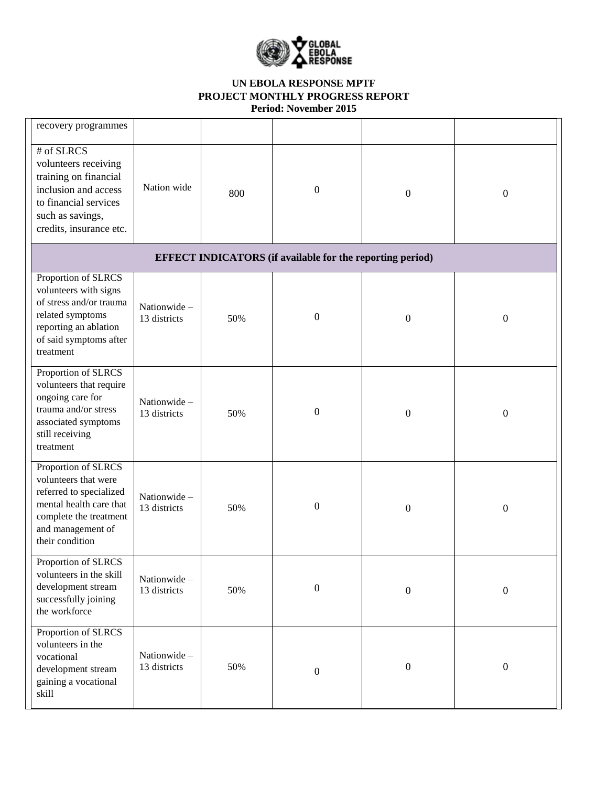

| recovery programmes                                                                                                                                                 |                             |     |                                                                  |                  |                  |
|---------------------------------------------------------------------------------------------------------------------------------------------------------------------|-----------------------------|-----|------------------------------------------------------------------|------------------|------------------|
| # of SLRCS<br>volunteers receiving<br>training on financial<br>inclusion and access<br>to financial services<br>such as savings,<br>credits, insurance etc.         | Nation wide                 | 800 | $\boldsymbol{0}$                                                 | $\boldsymbol{0}$ | $\boldsymbol{0}$ |
|                                                                                                                                                                     |                             |     | <b>EFFECT INDICATORS</b> (if available for the reporting period) |                  |                  |
| Proportion of SLRCS<br>volunteers with signs<br>of stress and/or trauma<br>related symptoms<br>reporting an ablation<br>of said symptoms after<br>treatment         | Nationwide-<br>13 districts | 50% | $\boldsymbol{0}$                                                 | $\boldsymbol{0}$ | $\boldsymbol{0}$ |
| Proportion of SLRCS<br>volunteers that require<br>ongoing care for<br>trauma and/or stress<br>associated symptoms<br>still receiving<br>treatment                   | Nationwide-<br>13 districts | 50% | $\boldsymbol{0}$                                                 | $\boldsymbol{0}$ | $\boldsymbol{0}$ |
| Proportion of SLRCS<br>volunteers that were<br>referred to specialized<br>mental health care that<br>complete the treatment<br>and management of<br>their condition | Nationwide-<br>13 districts | 50% | $\boldsymbol{0}$                                                 | $\boldsymbol{0}$ | $\boldsymbol{0}$ |
| Proportion of SLRCS<br>volunteers in the skill<br>development stream<br>successfully joining<br>the workforce                                                       | Nationwide-<br>13 districts | 50% | $\boldsymbol{0}$                                                 | $\boldsymbol{0}$ | $\boldsymbol{0}$ |
| Proportion of SLRCS<br>volunteers in the<br>vocational<br>development stream<br>gaining a vocational<br>skill                                                       | Nationwide-<br>13 districts | 50% | $\boldsymbol{0}$                                                 | $\boldsymbol{0}$ | $\boldsymbol{0}$ |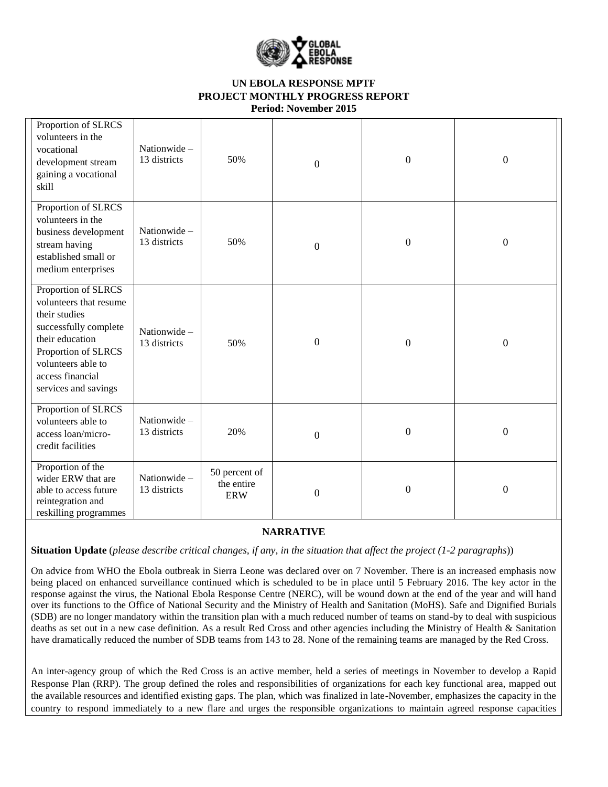

| Proportion of SLRCS<br>volunteers in the<br>vocational<br>development stream<br>gaining a vocational<br>skill                                                                                       | Nationwide-<br>13 districts | 50%                                       | $\boldsymbol{0}$ | $\boldsymbol{0}$ | $\boldsymbol{0}$ |
|-----------------------------------------------------------------------------------------------------------------------------------------------------------------------------------------------------|-----------------------------|-------------------------------------------|------------------|------------------|------------------|
| Proportion of SLRCS<br>volunteers in the<br>business development<br>stream having<br>established small or<br>medium enterprises                                                                     | Nationwide-<br>13 districts | 50%                                       | $\boldsymbol{0}$ | $\boldsymbol{0}$ | $\boldsymbol{0}$ |
| Proportion of SLRCS<br>volunteers that resume<br>their studies<br>successfully complete<br>their education<br>Proportion of SLRCS<br>volunteers able to<br>access financial<br>services and savings | Nationwide-<br>13 districts | 50%                                       | $\boldsymbol{0}$ | $\boldsymbol{0}$ | $\boldsymbol{0}$ |
| Proportion of SLRCS<br>volunteers able to<br>access loan/micro-<br>credit facilities                                                                                                                | Nationwide-<br>13 districts | 20%                                       | $\boldsymbol{0}$ | $\boldsymbol{0}$ | $\boldsymbol{0}$ |
| Proportion of the<br>wider ERW that are<br>able to access future<br>reintegration and<br>reskilling programmes                                                                                      | Nationwide-<br>13 districts | 50 percent of<br>the entire<br><b>ERW</b> | $\boldsymbol{0}$ | $\boldsymbol{0}$ | $\boldsymbol{0}$ |

### **NARRATIVE**

**Situation Update** (*please describe critical changes, if any, in the situation that affect the project (1-2 paragraphs*))

On advice from WHO the Ebola outbreak in Sierra Leone was declared over on 7 November. There is an increased emphasis now being placed on enhanced surveillance continued which is scheduled to be in place until 5 February 2016. The key actor in the response against the virus, the National Ebola Response Centre (NERC), will be wound down at the end of the year and will hand over its functions to the Office of National Security and the Ministry of Health and Sanitation (MoHS). Safe and Dignified Burials (SDB) are no longer mandatory within the transition plan with a much reduced number of teams on stand-by to deal with suspicious deaths as set out in a new case definition. As a result Red Cross and other agencies including the Ministry of Health & Sanitation have dramatically reduced the number of SDB teams from 143 to 28. None of the remaining teams are managed by the Red Cross.

An inter-agency group of which the Red Cross is an active member, held a series of meetings in November to develop a Rapid Response Plan (RRP). The group defined the roles and responsibilities of organizations for each key functional area, mapped out the available resources and identified existing gaps. The plan, which was finalized in late-November, emphasizes the capacity in the country to respond immediately to a new flare and urges the responsible organizations to maintain agreed response capacities